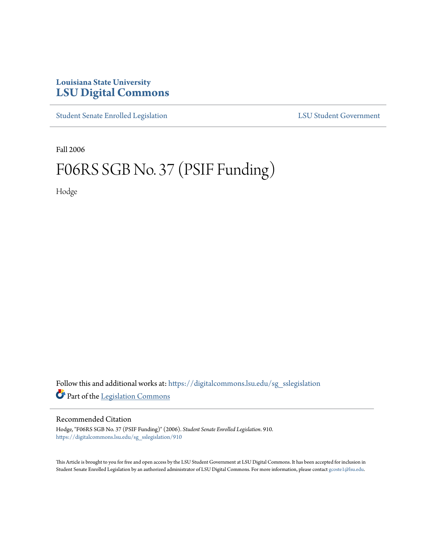## **Louisiana State University [LSU Digital Commons](https://digitalcommons.lsu.edu?utm_source=digitalcommons.lsu.edu%2Fsg_sslegislation%2F910&utm_medium=PDF&utm_campaign=PDFCoverPages)**

[Student Senate Enrolled Legislation](https://digitalcommons.lsu.edu/sg_sslegislation?utm_source=digitalcommons.lsu.edu%2Fsg_sslegislation%2F910&utm_medium=PDF&utm_campaign=PDFCoverPages) [LSU Student Government](https://digitalcommons.lsu.edu/sg?utm_source=digitalcommons.lsu.edu%2Fsg_sslegislation%2F910&utm_medium=PDF&utm_campaign=PDFCoverPages)

Fall 2006

## F06RS SGB No. 37 (PSIF Funding)

Hodge

Follow this and additional works at: [https://digitalcommons.lsu.edu/sg\\_sslegislation](https://digitalcommons.lsu.edu/sg_sslegislation?utm_source=digitalcommons.lsu.edu%2Fsg_sslegislation%2F910&utm_medium=PDF&utm_campaign=PDFCoverPages) Part of the [Legislation Commons](http://network.bepress.com/hgg/discipline/859?utm_source=digitalcommons.lsu.edu%2Fsg_sslegislation%2F910&utm_medium=PDF&utm_campaign=PDFCoverPages)

## Recommended Citation

Hodge, "F06RS SGB No. 37 (PSIF Funding)" (2006). *Student Senate Enrolled Legislation*. 910. [https://digitalcommons.lsu.edu/sg\\_sslegislation/910](https://digitalcommons.lsu.edu/sg_sslegislation/910?utm_source=digitalcommons.lsu.edu%2Fsg_sslegislation%2F910&utm_medium=PDF&utm_campaign=PDFCoverPages)

This Article is brought to you for free and open access by the LSU Student Government at LSU Digital Commons. It has been accepted for inclusion in Student Senate Enrolled Legislation by an authorized administrator of LSU Digital Commons. For more information, please contact [gcoste1@lsu.edu.](mailto:gcoste1@lsu.edu)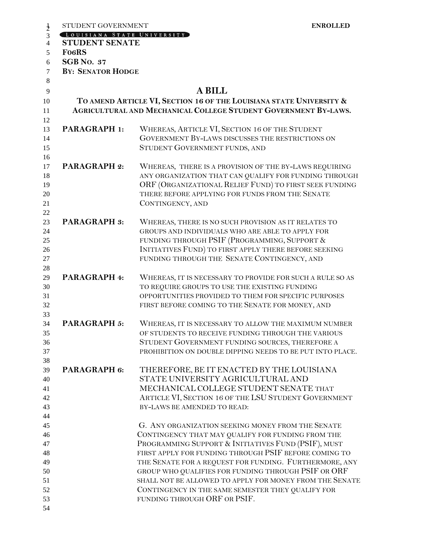| STUDENT GOVERNMENT<br>$\frac{1}{2}$     | <b>ENROLLED</b>                                                                                                                        |
|-----------------------------------------|----------------------------------------------------------------------------------------------------------------------------------------|
| OUISIANA STATE UNIVERSITY               |                                                                                                                                        |
| $\overline{4}$<br><b>STUDENT SENATE</b> |                                                                                                                                        |
| <b>FO6RS</b><br>5                       |                                                                                                                                        |
| <b>SGB No. 37</b><br>6                  |                                                                                                                                        |
| <b>BY: SENATOR HODGE</b><br>$\tau$      |                                                                                                                                        |
| 8                                       |                                                                                                                                        |
| 9                                       | <b>A BILL</b>                                                                                                                          |
| 10<br>11                                | TO AMEND ARTICLE VI, SECTION 16 OF THE LOUISIANA STATE UNIVERSITY &<br>AGRICULTURAL AND MECHANICAL COLLEGE STUDENT GOVERNMENT BY-LAWS. |
| 12<br><b>PARAGRAPH 1:</b><br>13         | WHEREAS, ARTICLE VI, SECTION 16 OF THE STUDENT                                                                                         |
| 14<br>15<br>16                          | GOVERNMENT BY-LAWS DISCUSSES THE RESTRICTIONS ON<br>STUDENT GOVERNMENT FUNDS, AND                                                      |
| <b>PARAGRAPH 2:</b><br>17               | WHEREAS, THERE IS A PROVISION OF THE BY-LAWS REQUIRING                                                                                 |
| 18                                      | ANY ORGANIZATION THAT CAN QUALIFY FOR FUNDING THROUGH                                                                                  |
| 19                                      | ORF (ORGANIZATIONAL RELIEF FUND) TO FIRST SEEK FUNDING                                                                                 |
| 20                                      | THERE BEFORE APPLYING FOR FUNDS FROM THE SENATE                                                                                        |
|                                         | CONTINGENCY, AND                                                                                                                       |
| <b>PARAGRAPH 3:</b>                     | WHEREAS, THERE IS NO SUCH PROVISION AS IT RELATES TO                                                                                   |
| 23                                      | GROUPS AND INDIVIDUALS WHO ARE ABLE TO APPLY FOR                                                                                       |
| 24<br>25                                | FUNDING THROUGH PSIF (PROGRAMMING, SUPPORT &                                                                                           |
| 26                                      | INITIATIVES FUND) TO FIRST APPLY THERE BEFORE SEEKING                                                                                  |
|                                         | FUNDING THROUGH THE SENATE CONTINGENCY, AND                                                                                            |
|                                         |                                                                                                                                        |
| PARAGRAPH 4:                            | WHEREAS, IT IS NECESSARY TO PROVIDE FOR SUCH A RULE SO AS                                                                              |
|                                         | TO REQUIRE GROUPS TO USE THE EXISTING FUNDING                                                                                          |
|                                         | OPPORTUNITIES PROVIDED TO THEM FOR SPECIFIC PURPOSES                                                                                   |
|                                         | FIRST BEFORE COMING TO THE SENATE FOR MONEY, AND                                                                                       |
| <b>PARAGRAPH 5:</b>                     | WHEREAS, IT IS NECESSARY TO ALLOW THE MAXIMUM NUMBER                                                                                   |
|                                         | OF STUDENTS TO RECEIVE FUNDING THROUGH THE VARIOUS                                                                                     |
|                                         | STUDENT GOVERNMENT FUNDING SOURCES, THEREFORE A                                                                                        |
|                                         | PROHIBITION ON DOUBLE DIPPING NEEDS TO BE PUT INTO PLACE.                                                                              |
| PARAGRAPH 6:                            | THEREFORE, BE IT ENACTED BY THE LOUISIANA                                                                                              |
|                                         | STATE UNIVERSITY AGRICULTURAL AND                                                                                                      |
|                                         | MECHANICAL COLLEGE STUDENT SENATE THAT                                                                                                 |
|                                         | ARTICLE VI, SECTION 16 OF THE LSU STUDENT GOVERNMENT                                                                                   |
|                                         | BY-LAWS BE AMENDED TO READ:                                                                                                            |
|                                         |                                                                                                                                        |
|                                         | G. ANY ORGANIZATION SEEKING MONEY FROM THE SENATE                                                                                      |
|                                         | CONTINGENCY THAT MAY QUALIFY FOR FUNDING FROM THE                                                                                      |
|                                         | PROGRAMMING SUPPORT & INITIATIVES FUND (PSIF), MUST                                                                                    |
|                                         | FIRST APPLY FOR FUNDING THROUGH PSIF BEFORE COMING TO                                                                                  |
|                                         | THE SENATE FOR A REQUEST FOR FUNDING. FURTHERMORE, ANY                                                                                 |
|                                         | GROUP WHO QUALIFIES FOR FUNDING THROUGH PSIF OR ORF                                                                                    |
|                                         | SHALL NOT BE ALLOWED TO APPLY FOR MONEY FROM THE SENATE                                                                                |
|                                         | CONTINGENCY IN THE SAME SEMESTER THEY QUALIFY FOR                                                                                      |
|                                         | FUNDING THROUGH ORF OR PSIF.                                                                                                           |
| 54                                      |                                                                                                                                        |